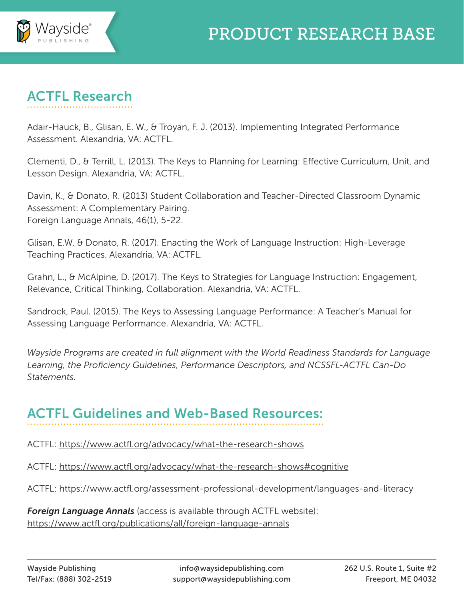

## ACTFL Research

Adair-Hauck, B., Glisan, E. W., & Troyan, F. J. (2013). Implementing Integrated Performance Assessment. Alexandria, VA: ACTFL.

Clementi, D., & Terrill, L. (2013). The Keys to Planning for Learning: Effective Curriculum, Unit, and Lesson Design. Alexandria, VA: ACTFL.

Davin, K., & Donato, R. (2013) Student Collaboration and Teacher-Directed Classroom Dynamic Assessment: A Complementary Pairing. Foreign Language Annals, 46(1), 5-22.

Glisan, E.W, & Donato, R. (2017). Enacting the Work of Language Instruction: High-Leverage Teaching Practices. Alexandria, VA: ACTFL.

Grahn, L., & McAlpine, D. (2017). The Keys to Strategies for Language Instruction: Engagement, Relevance, Critical Thinking, Collaboration. Alexandria, VA: ACTFL.

Sandrock, Paul. (2015). The Keys to Assessing Language Performance: A Teacher's Manual for Assessing Language Performance. Alexandria, VA: ACTFL.

*Wayside Programs are created in full alignment with the World Readiness Standards for Language Learning, the Proficiency Guidelines, Performance Descriptors, and NCSSFL-ACTFL Can-Do Statements.*

## ACTFL Guidelines and Web-Based Resources:

ACTFL: https://www.actfl.org/advocacy/what-the-research-shows

ACTFL: https://www.actfl.org/advocacy/what-the-research-shows#cognitive

ACTFL: https://www.actfl.org/assessment-professional-development/languages-and-literacy

*Foreign Language Annals* (access is available through ACTFL website): https://www.actfl.org/publications/all/foreign-language-annals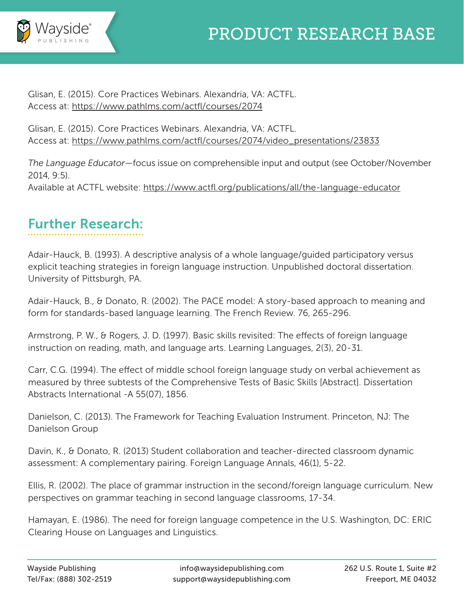

Glisan, E. (2015). Core Practices Webinars. Alexandria, VA: ACTFL. Access at: https://www.pathlms.com/actfl/courses/2074

Glisan, E. (2015). Core Practices Webinars. Alexandria, VA: ACTFL. Access at: https://www.pathlms.com/actfl/courses/2074/video\_presentations/23833

*The Language Educator*—focus issue on comprehensible input and output (see October/November 2014, 9:5). Available at ACTFL website: https://www.actfl.org/publications/all/the-language-educator

## Further Research:

Adair-Hauck, B. (1993). A descriptive analysis of a whole language/guided participatory versus explicit teaching strategies in foreign language instruction. Unpublished doctoral dissertation. University of Pittsburgh, PA.

Adair-Hauck, B., & Donato, R. (2002). The PACE model: A story-based approach to meaning and form for standards-based language learning. The French Review. 76, 265-296.

Armstrong, P. W., & Rogers, J. D. (1997). Basic skills revisited: The effects of foreign language instruction on reading, math, and language arts. Learning Languages, 2(3), 20-31.

Carr, C.G. (1994). The effect of middle school foreign language study on verbal achievement as measured by three subtests of the Comprehensive Tests of Basic Skills [Abstract]. Dissertation Abstracts International -A 55(07), 1856.

Danielson, C. (2013). The Framework for Teaching Evaluation Instrument. Princeton, NJ: The Danielson Group

Davin, K., & Donato, R. (2013) Student collaboration and teacher-directed classroom dynamic assessment: A complementary pairing. Foreign Language Annals, 46(1), 5-22.

Ellis, R. (2002). The place of grammar instruction in the second/foreign language curriculum. New perspectives on grammar teaching in second language classrooms, 17-34.

Hamayan, E. (1986). The need for foreign language competence in the U.S. Washington, DC: ERIC Clearing House on Languages and Linguistics.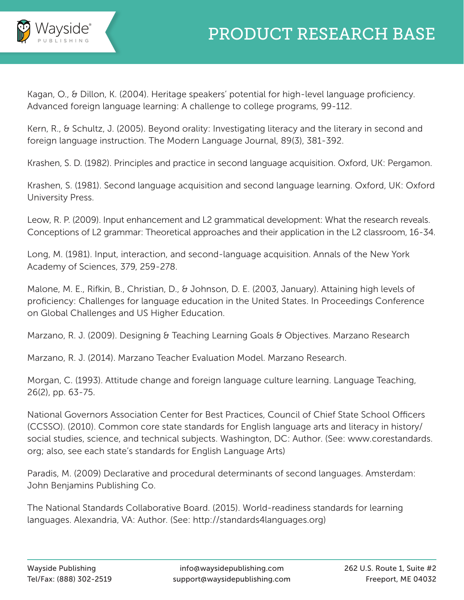

Kagan, O., & Dillon, K. (2004). Heritage speakers' potential for high-level language proficiency. Advanced foreign language learning: A challenge to college programs, 99-112.

Kern, R., & Schultz, J. (2005). Beyond orality: Investigating literacy and the literary in second and foreign language instruction. The Modern Language Journal, 89(3), 381-392.

Krashen, S. D. (1982). Principles and practice in second language acquisition. Oxford, UK: Pergamon.

Krashen, S. (1981). Second language acquisition and second language learning. Oxford, UK: Oxford University Press.

Leow, R. P. (2009). Input enhancement and L2 grammatical development: What the research reveals. Conceptions of L2 grammar: Theoretical approaches and their application in the L2 classroom, 16-34.

Long, M. (1981). Input, interaction, and second-language acquisition. Annals of the New York Academy of Sciences, 379, 259-278.

Malone, M. E., Rifkin, B., Christian, D., & Johnson, D. E. (2003, January). Attaining high levels of proficiency: Challenges for language education in the United States. In Proceedings Conference on Global Challenges and US Higher Education.

Marzano, R. J. (2009). Designing & Teaching Learning Goals & Objectives. Marzano Research

Marzano, R. J. (2014). Marzano Teacher Evaluation Model. Marzano Research.

Morgan, C. (1993). Attitude change and foreign language culture learning. Language Teaching, 26(2), pp. 63-75.

National Governors Association Center for Best Practices, Council of Chief State School Officers (CCSSO). (2010). Common core state standards for English language arts and literacy in history/ social studies, science, and technical subjects. Washington, DC: Author. (See: www.corestandards. org; also, see each state's standards for English Language Arts)

Paradis, M. (2009) Declarative and procedural determinants of second languages. Amsterdam: John Benjamins Publishing Co.

The National Standards Collaborative Board. (2015). World-readiness standards for learning languages. Alexandria, VA: Author. (See: http://standards4languages.org)